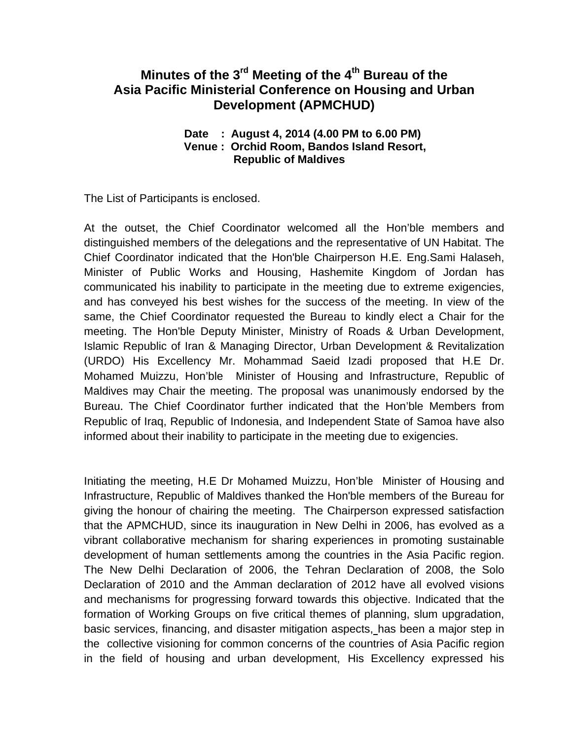# Minutes of the 3<sup>rd</sup> Meeting of the 4<sup>th</sup> Bureau of the **Asia Pacific Ministerial Conference on Housing and Urban Development (APMCHUD)**

#### **Date : August 4, 2014 (4.00 PM to 6.00 PM) Venue : Orchid Room, Bandos Island Resort, Republic of Maldives**

The List of Participants is enclosed.

At the outset, the Chief Coordinator welcomed all the Hon'ble members and distinguished members of the delegations and the representative of UN Habitat. The Chief Coordinator indicated that the Hon'ble Chairperson H.E. Eng.Sami Halaseh, Minister of Public Works and Housing, Hashemite Kingdom of Jordan has communicated his inability to participate in the meeting due to extreme exigencies, and has conveyed his best wishes for the success of the meeting. In view of the same, the Chief Coordinator requested the Bureau to kindly elect a Chair for the meeting. The Hon'ble Deputy Minister, Ministry of Roads & Urban Development, Islamic Republic of Iran & Managing Director, Urban Development & Revitalization (URDO) His Excellency Mr. Mohammad Saeid Izadi proposed that H.E Dr. Mohamed Muizzu, Hon'ble Minister of Housing and Infrastructure, Republic of Maldives may Chair the meeting. The proposal was unanimously endorsed by the Bureau. The Chief Coordinator further indicated that the Hon'ble Members from Republic of Iraq, Republic of Indonesia, and Independent State of Samoa have also informed about their inability to participate in the meeting due to exigencies.

Initiating the meeting, H.E Dr Mohamed Muizzu, Hon'ble Minister of Housing and Infrastructure, Republic of Maldives thanked the Hon'ble members of the Bureau for giving the honour of chairing the meeting. The Chairperson expressed satisfaction that the APMCHUD, since its inauguration in New Delhi in 2006, has evolved as a vibrant collaborative mechanism for sharing experiences in promoting sustainable development of human settlements among the countries in the Asia Pacific region. The New Delhi Declaration of 2006, the Tehran Declaration of 2008, the Solo Declaration of 2010 and the Amman declaration of 2012 have all evolved visions and mechanisms for progressing forward towards this objective. Indicated that the formation of Working Groups on five critical themes of planning, slum upgradation, basic services, financing, and disaster mitigation aspects, has been a major step in the collective visioning for common concerns of the countries of Asia Pacific region in the field of housing and urban development, His Excellency expressed his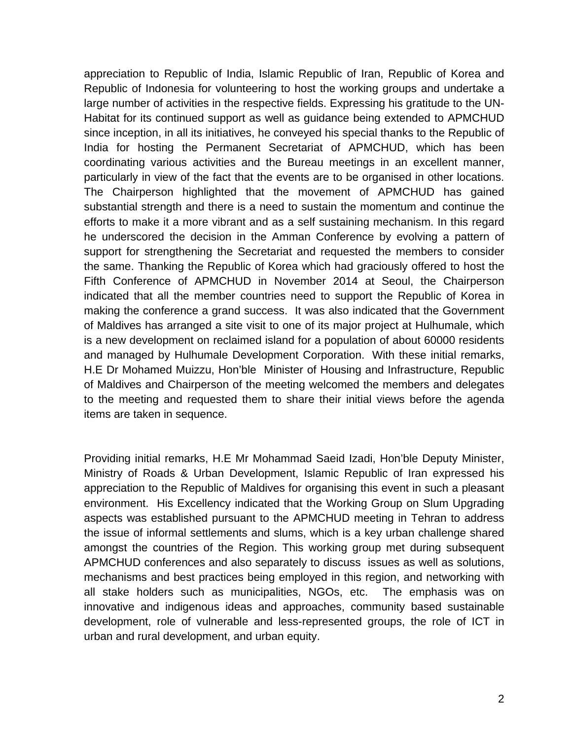appreciation to Republic of India, Islamic Republic of Iran, Republic of Korea and Republic of Indonesia for volunteering to host the working groups and undertake a large number of activities in the respective fields. Expressing his gratitude to the UN-Habitat for its continued support as well as guidance being extended to APMCHUD since inception, in all its initiatives, he conveyed his special thanks to the Republic of India for hosting the Permanent Secretariat of APMCHUD, which has been coordinating various activities and the Bureau meetings in an excellent manner, particularly in view of the fact that the events are to be organised in other locations. The Chairperson highlighted that the movement of APMCHUD has gained substantial strength and there is a need to sustain the momentum and continue the efforts to make it a more vibrant and as a self sustaining mechanism. In this regard he underscored the decision in the Amman Conference by evolving a pattern of support for strengthening the Secretariat and requested the members to consider the same. Thanking the Republic of Korea which had graciously offered to host the Fifth Conference of APMCHUD in November 2014 at Seoul, the Chairperson indicated that all the member countries need to support the Republic of Korea in making the conference a grand success. It was also indicated that the Government of Maldives has arranged a site visit to one of its major project at Hulhumale, which is a new development on reclaimed island for a population of about 60000 residents and managed by Hulhumale Development Corporation. With these initial remarks, H.E Dr Mohamed Muizzu, Hon'ble Minister of Housing and Infrastructure, Republic of Maldives and Chairperson of the meeting welcomed the members and delegates to the meeting and requested them to share their initial views before the agenda items are taken in sequence.

Providing initial remarks, H.E Mr Mohammad Saeid Izadi, Hon'ble Deputy Minister, Ministry of Roads & Urban Development, Islamic Republic of Iran expressed his appreciation to the Republic of Maldives for organising this event in such a pleasant environment. His Excellency indicated that the Working Group on Slum Upgrading aspects was established pursuant to the APMCHUD meeting in Tehran to address the issue of informal settlements and slums, which is a key urban challenge shared amongst the countries of the Region. This working group met during subsequent APMCHUD conferences and also separately to discuss issues as well as solutions, mechanisms and best practices being employed in this region, and networking with all stake holders such as municipalities, NGOs, etc. The emphasis was on innovative and indigenous ideas and approaches, community based sustainable development, role of vulnerable and less-represented groups, the role of ICT in urban and rural development, and urban equity.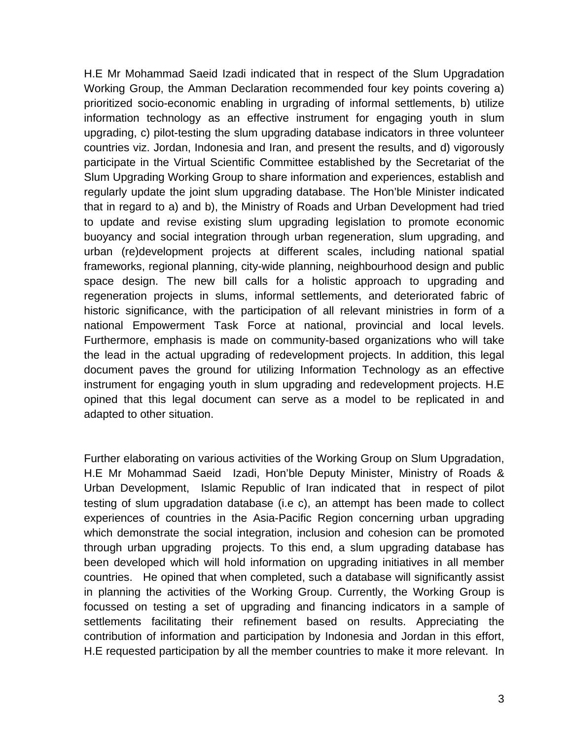H.E Mr Mohammad Saeid Izadi indicated that in respect of the Slum Upgradation Working Group, the Amman Declaration recommended four key points covering a) prioritized socio-economic enabling in urgrading of informal settlements, b) utilize information technology as an effective instrument for engaging youth in slum upgrading, c) pilot-testing the slum upgrading database indicators in three volunteer countries viz. Jordan, Indonesia and Iran, and present the results, and d) vigorously participate in the Virtual Scientific Committee established by the Secretariat of the Slum Upgrading Working Group to share information and experiences, establish and regularly update the joint slum upgrading database. The Hon'ble Minister indicated that in regard to a) and b), the Ministry of Roads and Urban Development had tried to update and revise existing slum upgrading legislation to promote economic buoyancy and social integration through urban regeneration, slum upgrading, and urban (re)development projects at different scales, including national spatial frameworks, regional planning, city-wide planning, neighbourhood design and public space design. The new bill calls for a holistic approach to upgrading and regeneration projects in slums, informal settlements, and deteriorated fabric of historic significance, with the participation of all relevant ministries in form of a national Empowerment Task Force at national, provincial and local levels. Furthermore, emphasis is made on community-based organizations who will take the lead in the actual upgrading of redevelopment projects. In addition, this legal document paves the ground for utilizing Information Technology as an effective instrument for engaging youth in slum upgrading and redevelopment projects. H.E opined that this legal document can serve as a model to be replicated in and adapted to other situation.

Further elaborating on various activities of the Working Group on Slum Upgradation, H.E Mr Mohammad Saeid Izadi, Hon'ble Deputy Minister, Ministry of Roads & Urban Development, Islamic Republic of Iran indicated that in respect of pilot testing of slum upgradation database (i.e c), an attempt has been made to collect experiences of countries in the Asia-Pacific Region concerning urban upgrading which demonstrate the social integration, inclusion and cohesion can be promoted through urban upgrading projects. To this end, a slum upgrading database has been developed which will hold information on upgrading initiatives in all member countries. He opined that when completed, such a database will significantly assist in planning the activities of the Working Group. Currently, the Working Group is focussed on testing a set of upgrading and financing indicators in a sample of settlements facilitating their refinement based on results. Appreciating the contribution of information and participation by Indonesia and Jordan in this effort, H.E requested participation by all the member countries to make it more relevant. In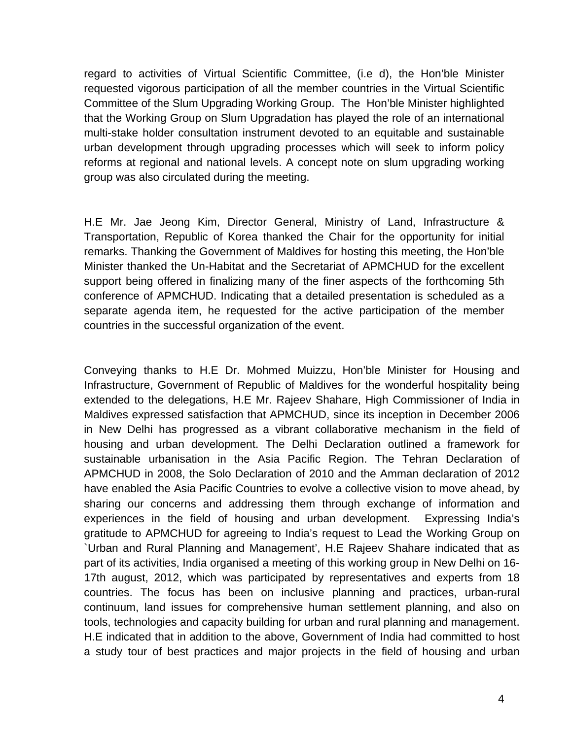regard to activities of Virtual Scientific Committee, (i.e d), the Hon'ble Minister requested vigorous participation of all the member countries in the Virtual Scientific Committee of the Slum Upgrading Working Group. The Hon'ble Minister highlighted that the Working Group on Slum Upgradation has played the role of an international multi-stake holder consultation instrument devoted to an equitable and sustainable urban development through upgrading processes which will seek to inform policy reforms at regional and national levels. A concept note on slum upgrading working group was also circulated during the meeting.

H.E Mr. Jae Jeong Kim, Director General, Ministry of Land, Infrastructure & Transportation, Republic of Korea thanked the Chair for the opportunity for initial remarks. Thanking the Government of Maldives for hosting this meeting, the Hon'ble Minister thanked the Un-Habitat and the Secretariat of APMCHUD for the excellent support being offered in finalizing many of the finer aspects of the forthcoming 5th conference of APMCHUD. Indicating that a detailed presentation is scheduled as a separate agenda item, he requested for the active participation of the member countries in the successful organization of the event.

Conveying thanks to H.E Dr. Mohmed Muizzu, Hon'ble Minister for Housing and Infrastructure, Government of Republic of Maldives for the wonderful hospitality being extended to the delegations, H.E Mr. Rajeev Shahare, High Commissioner of India in Maldives expressed satisfaction that APMCHUD, since its inception in December 2006 in New Delhi has progressed as a vibrant collaborative mechanism in the field of housing and urban development. The Delhi Declaration outlined a framework for sustainable urbanisation in the Asia Pacific Region. The Tehran Declaration of APMCHUD in 2008, the Solo Declaration of 2010 and the Amman declaration of 2012 have enabled the Asia Pacific Countries to evolve a collective vision to move ahead, by sharing our concerns and addressing them through exchange of information and experiences in the field of housing and urban development. Expressing India's gratitude to APMCHUD for agreeing to India's request to Lead the Working Group on `Urban and Rural Planning and Management', H.E Rajeev Shahare indicated that as part of its activities, India organised a meeting of this working group in New Delhi on 16- 17th august, 2012, which was participated by representatives and experts from 18 countries. The focus has been on inclusive planning and practices, urban-rural continuum, land issues for comprehensive human settlement planning, and also on tools, technologies and capacity building for urban and rural planning and management. H.E indicated that in addition to the above, Government of India had committed to host a study tour of best practices and major projects in the field of housing and urban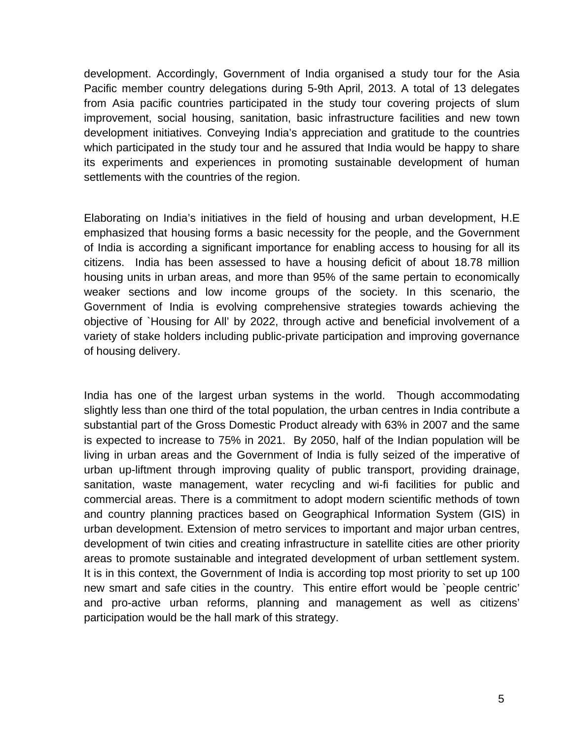development. Accordingly, Government of India organised a study tour for the Asia Pacific member country delegations during 5-9th April, 2013. A total of 13 delegates from Asia pacific countries participated in the study tour covering projects of slum improvement, social housing, sanitation, basic infrastructure facilities and new town development initiatives. Conveying India's appreciation and gratitude to the countries which participated in the study tour and he assured that India would be happy to share its experiments and experiences in promoting sustainable development of human settlements with the countries of the region.

Elaborating on India's initiatives in the field of housing and urban development, H.E emphasized that housing forms a basic necessity for the people, and the Government of India is according a significant importance for enabling access to housing for all its citizens. India has been assessed to have a housing deficit of about 18.78 million housing units in urban areas, and more than 95% of the same pertain to economically weaker sections and low income groups of the society. In this scenario, the Government of India is evolving comprehensive strategies towards achieving the objective of `Housing for All' by 2022, through active and beneficial involvement of a variety of stake holders including public-private participation and improving governance of housing delivery.

India has one of the largest urban systems in the world. Though accommodating slightly less than one third of the total population, the urban centres in India contribute a substantial part of the Gross Domestic Product already with 63% in 2007 and the same is expected to increase to 75% in 2021. By 2050, half of the Indian population will be living in urban areas and the Government of India is fully seized of the imperative of urban up-liftment through improving quality of public transport, providing drainage, sanitation, waste management, water recycling and wi-fi facilities for public and commercial areas. There is a commitment to adopt modern scientific methods of town and country planning practices based on Geographical Information System (GIS) in urban development. Extension of metro services to important and major urban centres, development of twin cities and creating infrastructure in satellite cities are other priority areas to promote sustainable and integrated development of urban settlement system. It is in this context, the Government of India is according top most priority to set up 100 new smart and safe cities in the country. This entire effort would be `people centric' and pro-active urban reforms, planning and management as well as citizens' participation would be the hall mark of this strategy.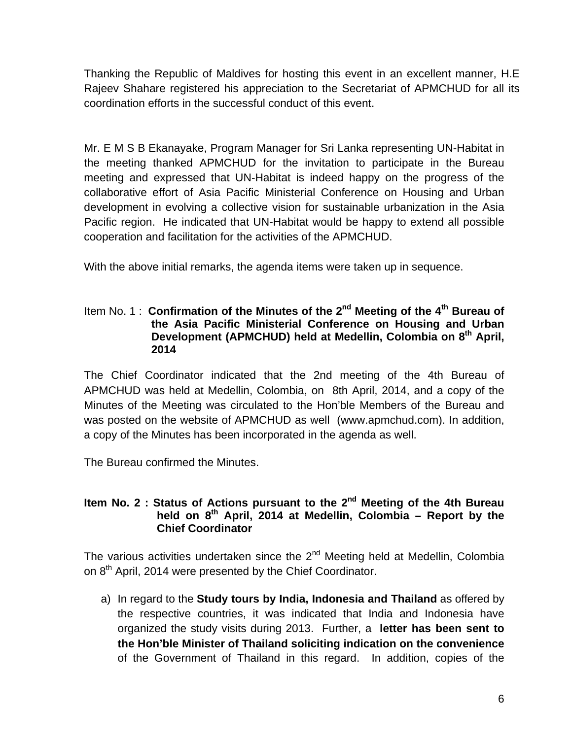Thanking the Republic of Maldives for hosting this event in an excellent manner, H.E Rajeev Shahare registered his appreciation to the Secretariat of APMCHUD for all its coordination efforts in the successful conduct of this event.

Mr. E M S B Ekanayake, Program Manager for Sri Lanka representing UN-Habitat in the meeting thanked APMCHUD for the invitation to participate in the Bureau meeting and expressed that UN-Habitat is indeed happy on the progress of the collaborative effort of Asia Pacific Ministerial Conference on Housing and Urban development in evolving a collective vision for sustainable urbanization in the Asia Pacific region. He indicated that UN-Habitat would be happy to extend all possible cooperation and facilitation for the activities of the APMCHUD.

With the above initial remarks, the agenda items were taken up in sequence.

### Item No. 1 : Confirmation of the Minutes of the 2<sup>nd</sup> Meeting of the 4<sup>th</sup> Bureau of **the Asia Pacific Ministerial Conference on Housing and Urban**  Development (APMCHUD) held at Medellin, Colombia on 8<sup>th</sup> April, **2014**

The Chief Coordinator indicated that the 2nd meeting of the 4th Bureau of APMCHUD was held at Medellin, Colombia, on 8th April, 2014, and a copy of the Minutes of the Meeting was circulated to the Hon'ble Members of the Bureau and was posted on the website of APMCHUD as well ([www.apmchud.com\)](http://www.apmchud.com/). In addition, a copy of the Minutes has been incorporated in the agenda as well.

The Bureau confirmed the Minutes.

### **Item No. 2 : Status of Actions pursuant to the 2nd Meeting of the 4th Bureau** held on 8<sup>th</sup> April, 2014 at Medellin, Colombia - Report by the **Chief Coordinator**

The various activities undertaken since the  $2^{nd}$  Meeting held at Medellin, Colombia on 8<sup>th</sup> April, 2014 were presented by the Chief Coordinator.

a) In regard to the **Study tours by India, Indonesia and Thailand** as offered by the respective countries, it was indicated that India and Indonesia have organized the study visits during 2013. Further, a **letter has been sent to the Hon'ble Minister of Thailand soliciting indication on the convenience** of the Government of Thailand in this regard. In addition, copies of the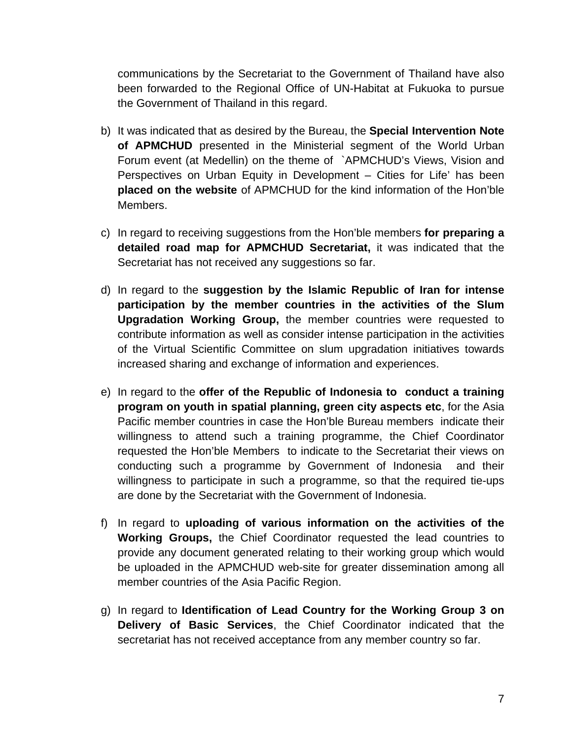communications by the Secretariat to the Government of Thailand have also been forwarded to the Regional Office of UN-Habitat at Fukuoka to pursue the Government of Thailand in this regard.

- b) It was indicated that as desired by the Bureau, the **Special Intervention Note of APMCHUD** presented in the Ministerial segment of the World Urban Forum event (at Medellin) on the theme of `APMCHUD's Views, Vision and Perspectives on Urban Equity in Development – Cities for Life' has been **placed on the website** of APMCHUD for the kind information of the Hon'ble Members.
- c) In regard to receiving suggestions from the Hon'ble members **for preparing a detailed road map for APMCHUD Secretariat,** it was indicated that the Secretariat has not received any suggestions so far.
- d) In regard to the **suggestion by the Islamic Republic of Iran for intense participation by the member countries in the activities of the Slum Upgradation Working Group,** the member countries were requested to contribute information as well as consider intense participation in the activities of the Virtual Scientific Committee on slum upgradation initiatives towards increased sharing and exchange of information and experiences.
- e) In regard to the **offer of the Republic of Indonesia to conduct a training program on youth in spatial planning, green city aspects etc**, for the Asia Pacific member countries in case the Hon'ble Bureau members indicate their willingness to attend such a training programme, the Chief Coordinator requested the Hon'ble Members to indicate to the Secretariat their views on conducting such a programme by Government of Indonesia and their willingness to participate in such a programme, so that the required tie-ups are done by the Secretariat with the Government of Indonesia.
- f) In regard to **uploading of various information on the activities of the Working Groups,** the Chief Coordinator requested the lead countries to provide any document generated relating to their working group which would be uploaded in the APMCHUD web-site for greater dissemination among all member countries of the Asia Pacific Region.
- g) In regard to **Identification of Lead Country for the Working Group 3 on Delivery of Basic Services**, the Chief Coordinator indicated that the secretariat has not received acceptance from any member country so far.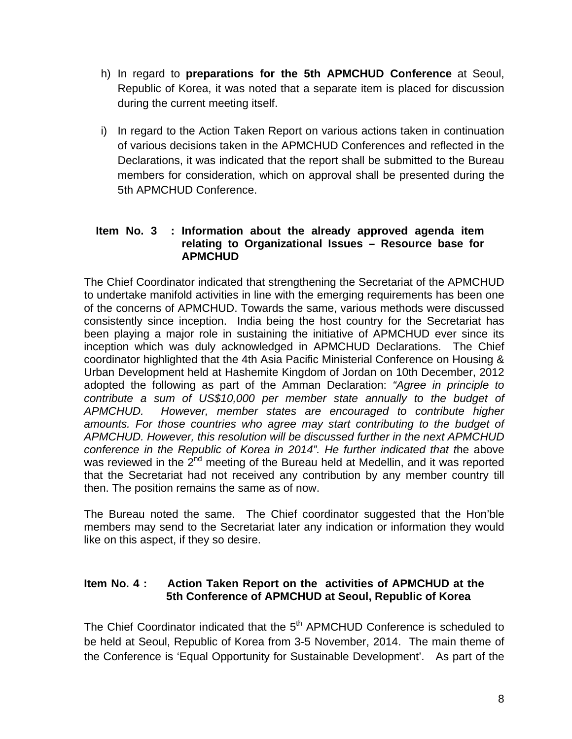- h) In regard to **preparations for the 5th APMCHUD Conference** at Seoul, Republic of Korea, it was noted that a separate item is placed for discussion during the current meeting itself.
- i) In regard to the Action Taken Report on various actions taken in continuation of various decisions taken in the APMCHUD Conferences and reflected in the Declarations, it was indicated that the report shall be submitted to the Bureau members for consideration, which on approval shall be presented during the 5th APMCHUD Conference.

### **Item No. 3 : Information about the already approved agenda item relating to Organizational Issues – Resource base for APMCHUD**

The Chief Coordinator indicated that strengthening the Secretariat of the APMCHUD to undertake manifold activities in line with the emerging requirements has been one of the concerns of APMCHUD. Towards the same, various methods were discussed consistently since inception. India being the host country for the Secretariat has been playing a major role in sustaining the initiative of APMCHUD ever since its inception which was duly acknowledged in APMCHUD Declarations. The Chief coordinator highlighted that the 4th Asia Pacific Ministerial Conference on Housing & Urban Development held at Hashemite Kingdom of Jordan on 10th December, 2012 adopted the following as part of the Amman Declaration: *"Agree in principle to contribute a sum of US\$10,000 per member state annually to the budget of APMCHUD. However, member states are encouraged to contribute higher*  amounts. For those countries who agree may start contributing to the budget of *APMCHUD. However, this resolution will be discussed further in the next APMCHUD conference in the Republic of Korea in 2014". He further indicated that t*he above was reviewed in the  $2^{nd}$  meeting of the Bureau held at Medellin, and it was reported that the Secretariat had not received any contribution by any member country till then. The position remains the same as of now.

The Bureau noted the same. The Chief coordinator suggested that the Hon'ble members may send to the Secretariat later any indication or information they would like on this aspect, if they so desire.

## **Item No. 4 : Action Taken Report on the activities of APMCHUD at the 5th Conference of APMCHUD at Seoul, Republic of Korea**

The Chief Coordinator indicated that the 5<sup>th</sup> APMCHUD Conference is scheduled to be held at Seoul, Republic of Korea from 3-5 November, 2014. The main theme of the Conference is 'Equal Opportunity for Sustainable Development'. As part of the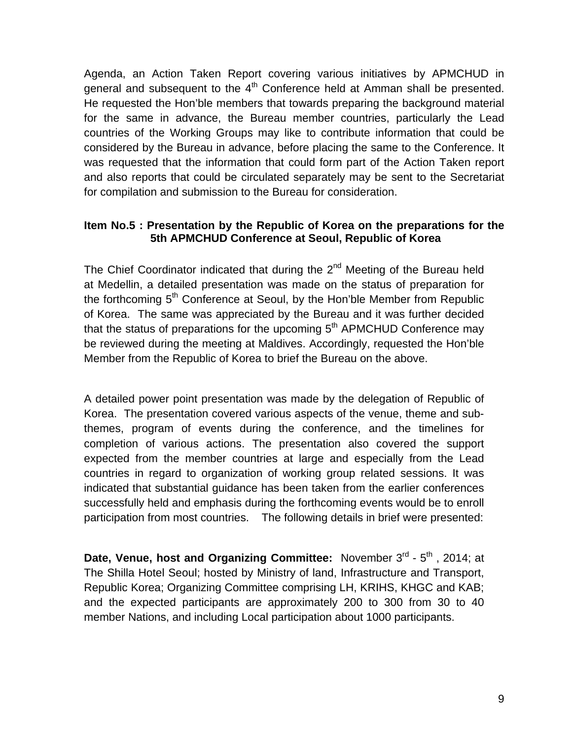Agenda, an Action Taken Report covering various initiatives by APMCHUD in general and subsequent to the  $4<sup>th</sup>$  Conference held at Amman shall be presented. He requested the Hon'ble members that towards preparing the background material for the same in advance, the Bureau member countries, particularly the Lead countries of the Working Groups may like to contribute information that could be considered by the Bureau in advance, before placing the same to the Conference. It was requested that the information that could form part of the Action Taken report and also reports that could be circulated separately may be sent to the Secretariat for compilation and submission to the Bureau for consideration.

### **Item No.5 : Presentation by the Republic of Korea on the preparations for the 5th APMCHUD Conference at Seoul, Republic of Korea**

The Chief Coordinator indicated that during the 2<sup>nd</sup> Meeting of the Bureau held at Medellin, a detailed presentation was made on the status of preparation for the forthcoming  $5<sup>th</sup>$  Conference at Seoul, by the Hon'ble Member from Republic of Korea. The same was appreciated by the Bureau and it was further decided that the status of preparations for the upcoming  $5<sup>th</sup>$  APMCHUD Conference may be reviewed during the meeting at Maldives. Accordingly, requested the Hon'ble Member from the Republic of Korea to brief the Bureau on the above.

A detailed power point presentation was made by the delegation of Republic of Korea. The presentation covered various aspects of the venue, theme and subthemes, program of events during the conference, and the timelines for completion of various actions. The presentation also covered the support expected from the member countries at large and especially from the Lead countries in regard to organization of working group related sessions. It was indicated that substantial guidance has been taken from the earlier conferences successfully held and emphasis during the forthcoming events would be to enroll participation from most countries. The following details in brief were presented:

**Date, Venue, host and Organizing Committee:** November 3<sup>rd</sup> - 5<sup>th</sup>, 2014; at The Shilla Hotel Seoul; hosted by Ministry of land, Infrastructure and Transport, Republic Korea; Organizing Committee comprising LH, KRIHS, KHGC and KAB; and the expected participants are approximately 200 to 300 from 30 to 40 member Nations, and including Local participation about 1000 participants.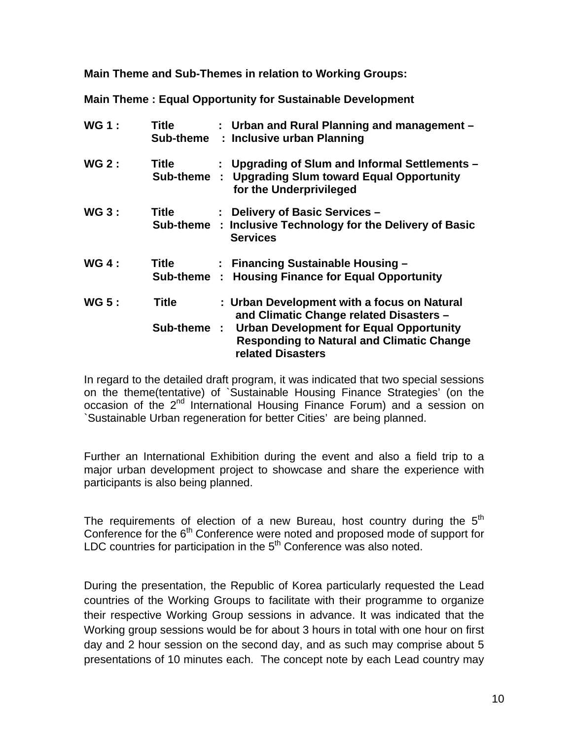**Main Theme and Sub-Themes in relation to Working Groups:** 

**Main Theme : Equal Opportunity for Sustainable Development** 

| <b>WG1:</b>  | Title                       |   | : Urban and Rural Planning and management -<br>Sub-theme : Inclusive urban Planning                                                                                                                                      |
|--------------|-----------------------------|---|--------------------------------------------------------------------------------------------------------------------------------------------------------------------------------------------------------------------------|
| <b>WG 2:</b> | Title<br>Sub-theme          | ÷ | : Upgrading of Slum and Informal Settlements -<br><b>Upgrading Slum toward Equal Opportunity</b><br>for the Underprivileged                                                                                              |
| <b>WG 3:</b> | <b>Title</b>                |   | : Delivery of Basic Services -<br>Sub-theme : Inclusive Technology for the Delivery of Basic<br><b>Services</b>                                                                                                          |
| <b>WG 4:</b> | <b>Title</b><br>Sub-theme : |   | : Financing Sustainable Housing -<br><b>Housing Finance for Equal Opportunity</b>                                                                                                                                        |
| <b>WG 5:</b> | Title<br>Sub-theme :        |   | : Urban Development with a focus on Natural<br>and Climatic Change related Disasters -<br><b>Urban Development for Equal Opportunity</b><br><b>Responding to Natural and Climatic Change</b><br><b>related Disasters</b> |

In regard to the detailed draft program, it was indicated that two special sessions on the theme(tentative) of `Sustainable Housing Finance Strategies' (on the occasion of the 2<sup>nd</sup> International Housing Finance Forum) and a session on `Sustainable Urban regeneration for better Cities' are being planned.

Further an International Exhibition during the event and also a field trip to a major urban development project to showcase and share the experience with participants is also being planned.

The requirements of election of a new Bureau, host country during the  $5<sup>th</sup>$ Conference for the  $6<sup>th</sup>$  Conference were noted and proposed mode of support for LDC countries for participation in the  $5<sup>th</sup>$  Conference was also noted.

During the presentation, the Republic of Korea particularly requested the Lead countries of the Working Groups to facilitate with their programme to organize their respective Working Group sessions in advance. It was indicated that the Working group sessions would be for about 3 hours in total with one hour on first day and 2 hour session on the second day, and as such may comprise about 5 presentations of 10 minutes each. The concept note by each Lead country may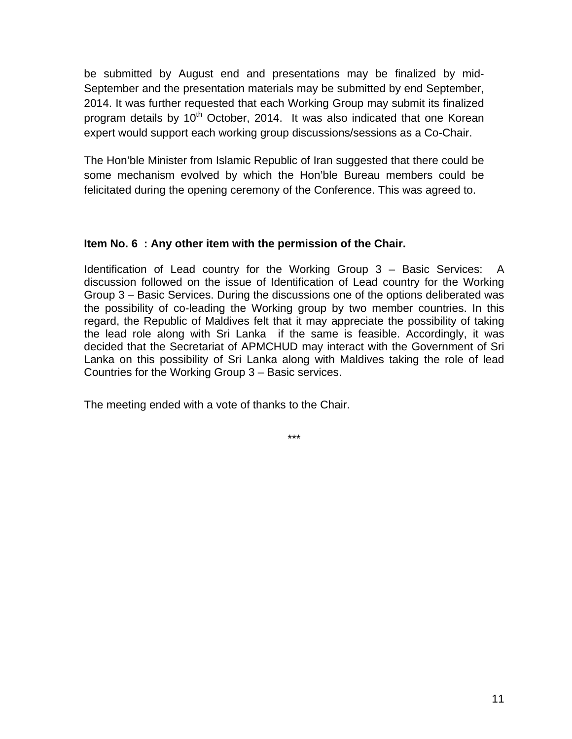be submitted by August end and presentations may be finalized by mid-September and the presentation materials may be submitted by end September, 2014. It was further requested that each Working Group may submit its finalized program details by  $10<sup>th</sup>$  October, 2014. It was also indicated that one Korean expert would support each working group discussions/sessions as a Co-Chair.

The Hon'ble Minister from Islamic Republic of Iran suggested that there could be some mechanism evolved by which the Hon'ble Bureau members could be felicitated during the opening ceremony of the Conference. This was agreed to.

### **Item No. 6 : Any other item with the permission of the Chair.**

Identification of Lead country for the Working Group 3 – Basic Services: A discussion followed on the issue of Identification of Lead country for the Working Group 3 – Basic Services. During the discussions one of the options deliberated was the possibility of co-leading the Working group by two member countries. In this regard, the Republic of Maldives felt that it may appreciate the possibility of taking the lead role along with Sri Lanka if the same is feasible. Accordingly, it was decided that the Secretariat of APMCHUD may interact with the Government of Sri Lanka on this possibility of Sri Lanka along with Maldives taking the role of lead Countries for the Working Group 3 – Basic services.

The meeting ended with a vote of thanks to the Chair.

\*\*\*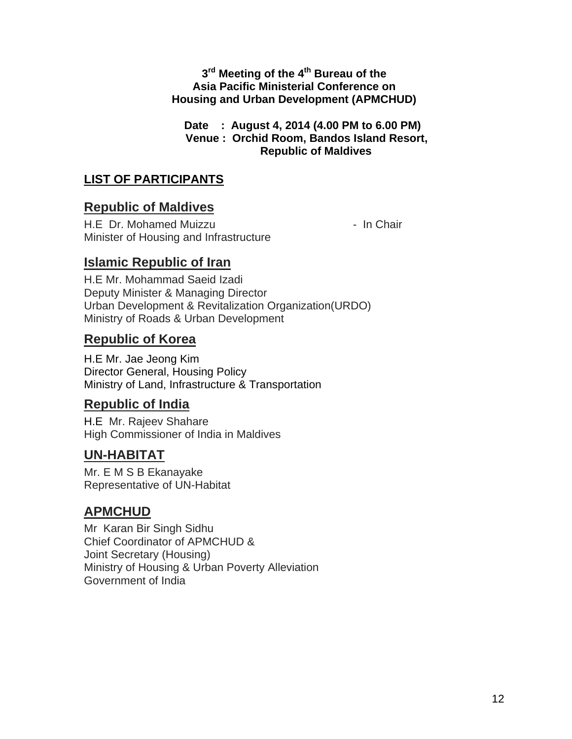## $3<sup>rd</sup>$  Meeting of the 4<sup>th</sup> Bureau of the **Asia Pacific Ministerial Conference on Housing and Urban Development (APMCHUD)**

**Date : August 4, 2014 (4.00 PM to 6.00 PM) Venue : Orchid Room, Bandos Island Resort, Republic of Maldives**

# **LIST OF PARTICIPANTS**

# **Republic of Maldives**

H.E Dr. Mohamed Muizzu - In Chair Minister of Housing and Infrastructure

# **Islamic Republic of Iran**

H.E Mr. Mohammad Saeid Izadi Deputy Minister & Managing Director Urban Development & Revitalization Organization(URDO) Ministry of Roads & Urban Development

## **Republic of Korea**

H.E Mr. Jae Jeong Kim Director General, Housing Policy Ministry of Land, Infrastructure & Transportation

# **Republic of India**

H.E Mr. Rajeev Shahare High Commissioner of India in Maldives

# **UN-HABITAT**

Mr. E M S B Ekanayake Representative of UN-Habitat

# **APMCHUD**

Mr Karan Bir Singh Sidhu Chief Coordinator of APMCHUD & Joint Secretary (Housing) Ministry of Housing & Urban Poverty Alleviation Government of India